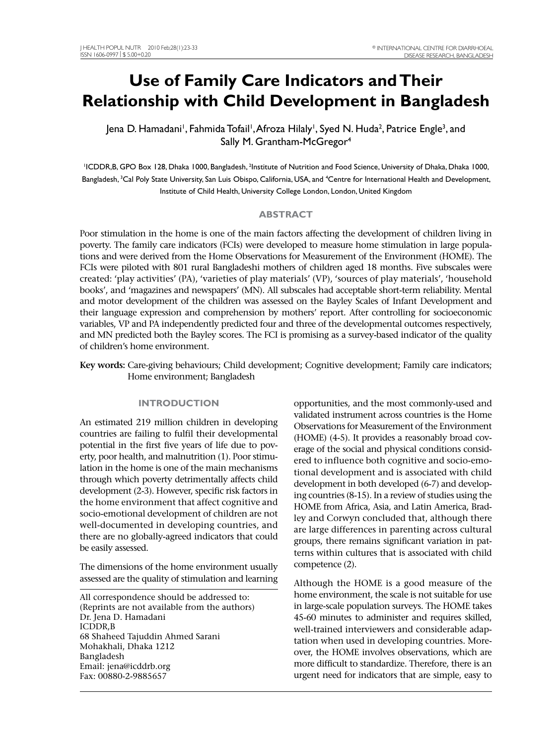# **Use of Family Care Indicators and Their Relationship with Child Development in Bangladesh**

Jena D. Hamadani', Fahmida Tofail', Afroza Hilaly', Syed N. Huda<sup>2</sup>, Patrice Engle<sup>3</sup>, and Sally M. Grantham-McGregor<sup>4</sup>

<sup>1</sup>ICDDR,B, GPO Box 128, Dhaka 1000, Bangladesh, <sup>2</sup>Institute of Nutrition and Food Science, University of Dhaka, Dhaka 1000, Bangladesh, <sup>3</sup>Cal Poly State University, San Luis Obispo, California, USA, and <sup>4</sup>Centre for International Health and Development, Institute of Child Health, University College London, London, United Kingdom

# **ABSTRACT**

 FCIs were piloted with 801 rural Bangladeshi mothers of children aged 18 months. Five subscales were books', and 'magazines and newspapers' (MN). All subscales had acceptable short-term reliability. Mental their language expression and comprehension by mothers' report. After controlling for socioeconomic variables, VP and PA independently predicted four and three of the developmental outcomes respectively, Poor stimulation in the home is one of the main factors affecting the development of children living in poverty. The family care indicators (FCIs) were developed to measure home stimulation in large populations and were derived from the Home Observations for Measurement of the Environment (HOME). The created: 'play activities' (PA), 'varieties of play materials' (VP), 'sources of play materials', 'household and motor development of the children was assessed on the Bayley Scales of Infant Development and and MN predicted both the Bayley scores. The FCI is promising as a survey-based indicator of the quality of children's home environment.

 **Key words:** Care-giving behaviours; Child development; Cognitive development; Family care indicators; Home environment; Bangladesh

An estimated 219 million children in developing countries are failing to fulfil their developmental development (2-3). However, specific risk factors in socio-emotional development of children are not be easily assessed. An estimated 219 million children in developing Observations for Measurement of the Environment

The dimensions of the home environment usually competence (2). assessed are the quality of stimulation and learning

 validated instrument across countries is the Home ing countries (8-15). In a review of studies using the **INTRODUCTION** opportunities, and the most commonly-used and countries are failing to fulfil their developmental<br>potential in the first five years of life due to poverage of the social and physical conditions consider<br>ty, poor health, and malnutrition (1). Poor stimu-<br>lation in the

 All correspondence should be addressed to: home environment, the scale is not suitable for use Dr. Jena D. Hamadani 45-60 minutes to administer and requires skilled, over, the HOME involves observations, which are Although the HOME is a good measure of the (Reprints are not available from the authors) in large-scale population surveys. The HOME takes ICDDR,B well-trained interviewers and considerable adap-<br>68 Shaheed Tajuddin Ahmed Sarani tation when used in developing countries. More-<br>Mohakhali, Dhaka 1212 over, the HOME involves observations, which are<br>Bangladesh mor Email: jena@icddrb.org more difficult to standardize. Therefore, there is an Fax: 00880-2-9885657 urgent need for indicators that are simple, easy to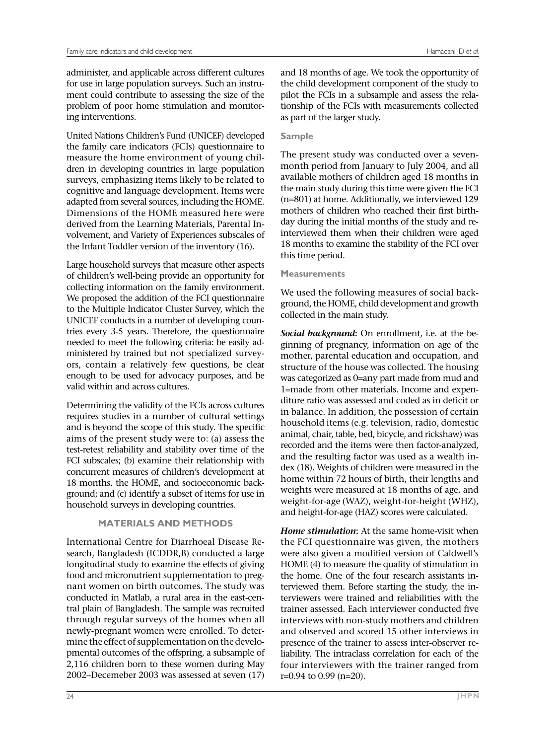ment could contribute to assessing the size of the administer, and applicable across different cultures for use in large population surveys. Such an instruproblem of poor home stimulation and monitoring interventions.

 cognitive and language development. Items were adapted from several sources, including the HOME. volvement, and Variety of Experiences subscales of the Infant Toddler version of the inventory (16). United Nations Children's Fund (UNICEF) developed the family care indicators (FCIs) questionnaire to measure the home environment of young children in developing countries in large population surveys, emphasizing items likely to be related to Dimensions of the HOME measured here were derived from the Learning Materials, Parental In-

 ors, contain a relatively few questions, be clear Large household surveys that measure other aspects of children's well-being provide an opportunity for collecting information on the family environment. We proposed the addition of the FCI questionnaire to the Multiple Indicator Cluster Survey, which the UNICEF conducts in a number of developing countries every 3-5 years. Therefore, the questionnaire needed to meet the following criteria: be easily administered by trained but not specialized surveyenough to be used for advocacy purposes, and be valid within and across cultures.

 and is beyond the scope of this study. The specific aims of the present study were to: (a) assess the test-retest reliability and stability over time of the FCI subscales; (b) examine their relationship with Determining the validity of the FCIs across cultures requires studies in a number of cultural settings concurrent measures of children's development at 18 months, the HOME, and socioeconomic background; and (c) identify a subset of items for use in household surveys in developing countries.

# **MATERIALS AND METHODS**

 search, Bangladesh (ICDDR,B) conducted a large longitudinal study to examine the effects of giving through regular surveys of the homes when all pmental outcomes of the offspring, a subsample of 2,116 children born to these women during May International Centre for Diarrhoeal Disease Refood and micronutrient supplementation to pregnant women on birth outcomes. The study was conducted in Matlab, a rural area in the east-central plain of Bangladesh. The sample was recruited newly-pregnant women were enrolled. To determine the effect of supplementation on the develo-2002–Decemeber 2003 was assessed at seven (17)

 as part of the larger study. and 18 months of age. We took the opportunity of the child development component of the study to pilot the FCIs in a subsample and assess the relationship of the FCIs with measurements collected

# **Sample**

 month period from January to July 2004, and all available mothers of children aged 18 months in the main study during this time were given the FCI The present study was conducted over a seven-(n=801) at home. Additionally, we interviewed 129 mothers of children who reached their first birthday during the initial months of the study and reinterviewed them when their children were aged 18 months to examine the stability of the FCI over this time period.

# **Measurements**

 ground, the HOME, child development and growth We used the following measures of social backcollected in the main study.

 ginning of pregnancy, information on age of the structure of the house was collected. The housing recorded and the items were then factor-analyzed, dex (18). Weights of children were measured in the *Social background***:** On enrollment, i.e. at the bemother, parental education and occupation, and was categorized as 0=any part made from mud and 1=made from other materials. Income and expenditure ratio was assessed and coded as in deficit or in balance. In addition, the possession of certain household items (e.g. television, radio, domestic animal, chair, table, bed, bicycle, and rickshaw) was and the resulting factor was used as a wealth inhome within 72 hours of birth, their lengths and weights were measured at 18 months of age, and weight-for-age (WAZ), weight-for-height (WHZ), and height-for-age (HAZ) scores were calculated.

 HOME (4) to measure the quality of stimulation in terviewers were trained and reliabilities with the trainer assessed. Each interviewer conducted five *Home stimulation***:** At the same home-visit when the FCI questionnaire was given, the mothers were also given a modified version of Caldwell's the home. One of the four research assistants interviewed them. Before starting the study, the ininterviews with non-study mothers and children and observed and scored 15 other interviews in presence of the trainer to assess inter-observer reliability. The intraclass correlation for each of the four interviewers with the trainer ranged from r=0.94 to 0.99 (n=20).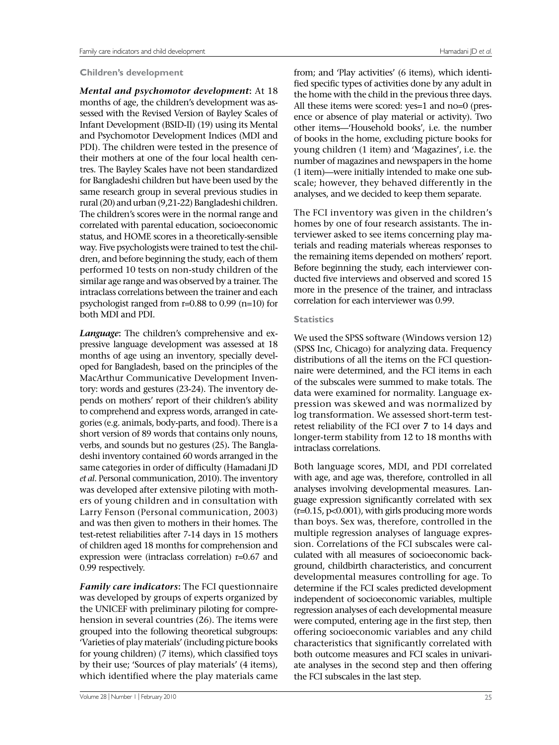#### **Children's development**

 *Mental and psychomotor development***:** At 18 sessed with the Revised Version of Bayley Scales of Infant Development (BSID-II) (19) using its Mental PDI). The children were tested in the presence of for Bangladeshi children but have been used by the same research group in several previous studies in rural (20) and urban (9,21-22) Bangladeshi children. correlated with parental education, socioeconomic status, and HOME scores in a theoretically-sensible similar age range and was observed by a trainer. The intraclass correlations between the trainer and each both MDI and PDI. months of age, the children's development was asand Psychomotor Development Indices (MDI and their mothers at one of the four local health centres. The Bayley Scales have not been standardized The children's scores were in the normal range and way. Five psychologists were trained to test the children, and before beginning the study, each of them performed 10 tests on non-study children of the psychologist ranged from r=0.88 to 0.99 (n=10) for

 same categories in order of difficulty (Hamadani JD *Language***:** The children's comprehensive and expressive language development was assessed at 18 months of age using an inventory, specially developed for Bangladesh, based on the principles of the MacArthur Communicative Development Inventory: words and gestures (23-24). The inventory depends on mothers' report of their children's ability to comprehend and express words, arranged in categories (e.g. animals, body-parts, and food). There is a short version of 89 words that contains only nouns, verbs, and sounds but no gestures (25)**.** The Bangladeshi inventory contained 60 words arranged in the *et al*. Personal communication, 2010). The inventory was developed after extensive piloting with mothers of young children and in consultation with Larry Fenson (Personal communication, 2003) and was then given to mothers in their homes. The test-retest reliabilities after 7-14 days in 15 mothers of children aged 18 months for comprehension and expression were (intraclass correlation) r=0.67 and 0.99 respectively.

 was developed by groups of experts organized by hension in several countries (26). The items were grouped into the following theoretical subgroups: by their use; 'Sources of play materials' (4 items), *Family care indicators***:** The FCI questionnaire the UNICEF with preliminary piloting for compre-'Varieties of play materials' (including picture books for young children) (7 items), which classified toys which identified where the play materials came

 fied specific types of activities done by any adult in the home with the child in the previous three days. number of magazines and newspapers in the home scale; however, they behaved differently in the from; and 'Play activities' (6 items), which identi-All these items were scored: yes=1 and no=0 (presence or absence of play material or activity). Two other items—'Household books', i.e. the number of books in the home, excluding picture books for young children (1 item) and 'Magazines', i.e. the (1 item)—were initially intended to make one subanalyses, and we decided to keep them separate.

 correlation for each interviewer was 0.99. The FCI inventory was given in the children's homes by one of four research assistants. The interviewer asked to see items concerning play materials and reading materials whereas responses to the remaining items depended on mothers' report. Before beginning the study, each interviewer conducted five interviews and observed and scored 15 more in the presence of the trainer, and intraclass

#### **Statistics**

 (SPSS Inc, Chicago) for analyzing data. Frequency We used the SPSS software (Windows version 12) distributions of all the items on the FCI questionnaire were determined, and the FCI items in each of the subscales were summed to make totals. The data were examined for normality. Language expression was skewed and was normalized by log transformation. We assessed short-term testretest reliability of the FCI over **7** to 14 days and longer-term stability from 12 to 18 months with intraclass correlations.

 with age, and age was, therefore, controlled in all guage expression significantly correlated with sex than boys. Sex was, therefore, controlled in the ground, childbirth characteristics, and concurrent determine if the FCI scales predicted development regression analyses of each developmental measure were computed, entering age in the first step, then ate analyses in the second step and then offering Both language scores, MDI, and PDI correlated analyses involving developmental measures. Lan-(r=0.15, p<0.001), with girls producing more words multiple regression analyses of language expression. Correlations of the FCI subscales were calculated with all measures of socioeconomic backdevelopmental measures controlling for age. To independent of socioeconomic variables, multiple offering socioeconomic variables and any child characteristics that significantly correlated with both outcome measures and FCI scales in univarithe FCI subscales in the last step.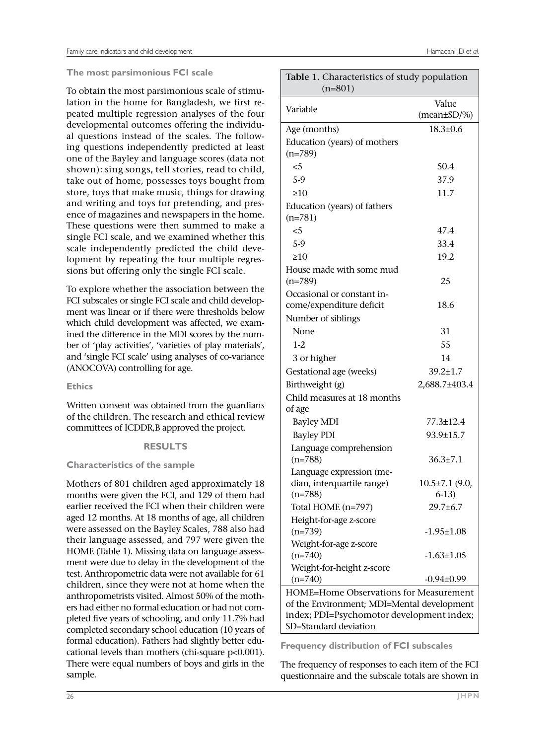# **The most parsimonious FCI scale**

 store, toys that make music, things for drawing To obtain the most parsimonious scale of stimulation in the home for Bangladesh, we first repeated multiple regression analyses of the four developmental outcomes offering the individual questions instead of the scales. The following questions independently predicted at least one of the Bayley and language scores (data not shown): sing songs, tell stories, read to child, take out of home, possesses toys bought from and writing and toys for pretending, and presence of magazines and newspapers in the home. These questions were then summed to make a single FCI scale, and we examined whether this scale independently predicted the child development by repeating the four multiple regressions but offering only the single FCI scale.

 ber of 'play activities', 'varieties of play materials', and 'single FCI scale' using analyses of co-variance (ANOCOVA) controlling for age. To explore whether the association between the FCI subscales or single FCI scale and child development was linear or if there were thresholds below which child development was affected, we examined the difference in the MDI scores by the num-

**Ethics** 

Written consent was obtained from the guardians of the children. The research and ethical review committees of ICDDR,B approved the project.

### **RESULTS**

### **Characteristics of the sample**

 earlier received the FCI when their children were aged 12 months. At 18 months of age, all children completed secondary school education (10 years of cational levels than mothers (chi-square p<0.001). There were equal numbers of boys and girls in the Mothers of 801 children aged approximately 18 months were given the FCI, and 129 of them had were assessed on the Bayley Scales, 788 also had their language assessed, and 797 were given the HOME (Table 1). Missing data on language assessment were due to delay in the development of the test. Anthropometric data were not available for 61 children, since they were not at home when the anthropometrists visited. Almost 50% of the mothers had either no formal education or had not completed five years of schooling, and only 11.7% had formal education). Fathers had slightly better edusample.

| Table 1. Characteristics of study population<br>$(n=801)$ |                            |  |  |
|-----------------------------------------------------------|----------------------------|--|--|
| Variable                                                  | Value<br>$(mean \pm SD/%)$ |  |  |
| Age (months)                                              | $18.3 \pm 0.6$             |  |  |
| Education (years) of mothers                              |                            |  |  |
| $(n=789)$                                                 |                            |  |  |
| $<$ 5                                                     | 50.4                       |  |  |
| 5.9                                                       | 37.9                       |  |  |
| $\geq 10$                                                 | 11.7                       |  |  |
| Education (years) of fathers<br>$(n=781)$                 |                            |  |  |
| $<$ 5                                                     | 47.4                       |  |  |
| 5-9                                                       | 33.4                       |  |  |
| $\geq 10$                                                 | 19.2                       |  |  |
| House made with some mud                                  |                            |  |  |
| $(n=789)$                                                 | 25                         |  |  |
| Occasional or constant in-                                |                            |  |  |
| come/expenditure deficit                                  | 18.6                       |  |  |
| Number of siblings                                        |                            |  |  |
| None                                                      | 31                         |  |  |
| $1 - 2$                                                   | 55                         |  |  |
| 3 or higher                                               | 14                         |  |  |
| Gestational age (weeks)                                   | 39.2±1.7                   |  |  |
| Birthweight (g)                                           | 2,688.7±403.4              |  |  |
| Child measures at 18 months                               |                            |  |  |
| of age                                                    |                            |  |  |
| <b>Bayley MDI</b>                                         | 77.3±12.4                  |  |  |
| <b>Bayley PDI</b>                                         | 93.9±15.7                  |  |  |
| Language comprehension                                    |                            |  |  |
| $(n=788)$                                                 | $36.3{\pm}7.1$             |  |  |
| Language expression (me-                                  |                            |  |  |
| dian, interquartile range)                                | 10.5±7.1 (9.0,             |  |  |
| $(n=788)$                                                 | $6-13$                     |  |  |
| Total HOME (n=797)                                        | 29.7±6.7                   |  |  |
| Height-for-age z-score                                    |                            |  |  |
| $(n=739)$                                                 | $-1.95 \pm 1.08$           |  |  |
| Weight-for-age z-score                                    |                            |  |  |
| $(n=740)$                                                 | $-1.63 \pm 1.05$           |  |  |
| Weight-for-height z-score                                 |                            |  |  |
| $(n=740)$                                                 | $-0.94\pm0.99$             |  |  |
| HOME=Home Observations for Measurement                    |                            |  |  |
| of the Environment; MDI=Mental development                |                            |  |  |
| index; PDI=Psychomotor development index;                 |                            |  |  |
| SD=Standard deviation                                     |                            |  |  |

**Frequency distribution of FCI subscales** 

 questionnaire and the subscale totals are shown in The frequency of responses to each item of the FCI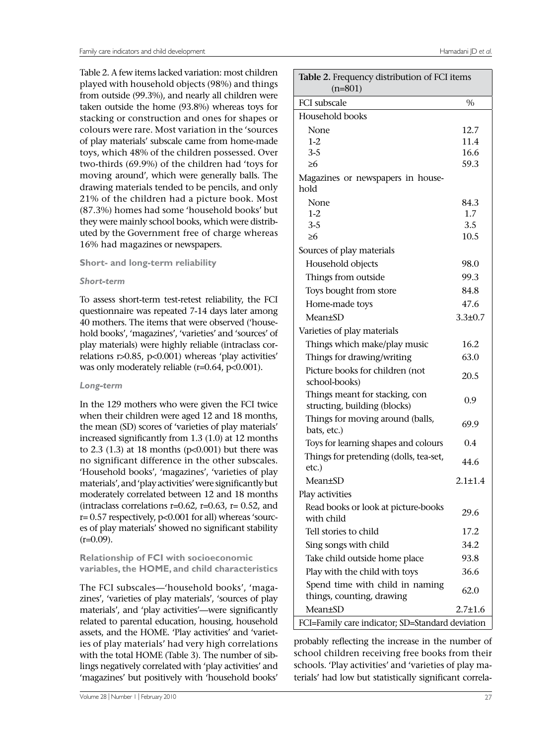Table 2. A few items lacked variation: most children from outside (99.3%), and nearly all children were of play materials' subscale came from home-made moving around', which were generally balls. The drawing materials tended to be pencils, and only 21% of the children had a picture book. Most uted by the Government free of charge whereas played with household objects (98%) and things taken outside the home (93.8%) whereas toys for stacking or construction and ones for shapes or colours were rare. Most variation in the 'sources toys, which 48% of the children possessed. Over two-thirds (69.9%) of the children had 'toys for (87.3%) homes had some 'household books' but they were mainly school books, which were distrib-16% had magazines or newspapers.

# **Short- and long-term reliability**

# *Short-term*

 hold books', 'magazines', 'varieties' and 'sources' of was only moderately reliable (r=0.64, p<0.001). To assess short-term test-retest reliability, the FCI questionnaire was repeated 7-14 days later among 40 mothers. The items that were observed ('houseplay materials) were highly reliable (intraclass correlations r>0.85, p<0.001) whereas 'play activities'

### *Long-term*

 In the 129 mothers who were given the FCI twice when their children were aged 12 and 18 months, 'Household books', 'magazines', 'varieties of play materials',and'playactivities'weresignificantlybut the mean (SD) scores of 'varieties of play materials' increased significantly from 1.3 (1.0) at 12 months to  $2.3$  (1.3) at 18 months ( $p<0.001$ ) but there was no significant difference in the other subscales. moderately correlated between 12 and 18 months (intraclass correlations  $r=0.62$ ,  $r=0.63$ ,  $r=0.52$ , and r= 0.57 respectively, p<0.001 for all) whereas 'sources of play materials' showed no significant stability  $(r=0.09)$ .

# **Relationship of FCI with socioeconomic variables, the HOME, and child characteristics**

 zines', 'varieties of play materials', 'sources of play materials', and 'play activities'—were significantly The FCI subscales—'household books', 'magarelated to parental education, housing, household assets, and the HOME. 'Play activities' and 'varieties of play materials' had very high correlations with the total HOME (Table 3). The number of siblings negatively correlated with 'play activities' and 'magazines' but positively with 'household books'

| Table 2. Frequency distribution of FCI items<br>$(n=801)$    |               |  |  |
|--------------------------------------------------------------|---------------|--|--|
| <b>FCI</b> subscale                                          | $\%$          |  |  |
| Household books                                              |               |  |  |
| None                                                         | 12.7          |  |  |
| $1-2$                                                        | 11.4          |  |  |
| $3 - 5$                                                      | 16.6          |  |  |
| ≥6                                                           | 59.3          |  |  |
| Magazines or newspapers in house-                            |               |  |  |
| hold                                                         |               |  |  |
| None                                                         | 84.3          |  |  |
| $1-2$                                                        | 1.7           |  |  |
| $3 - 5$<br>≥6                                                | 3.5<br>10.5   |  |  |
|                                                              |               |  |  |
| Sources of play materials                                    | 98.0          |  |  |
| Household objects                                            |               |  |  |
| Things from outside                                          | 99.3          |  |  |
| Toys bought from store                                       | 84.8          |  |  |
| Home-made toys                                               | 47.6          |  |  |
| Mean±SD                                                      | $3.3 \pm 0.7$ |  |  |
| Varieties of play materials                                  |               |  |  |
| Things which make/play music                                 | 16.2          |  |  |
| Things for drawing/writing                                   | 63.0          |  |  |
| Picture books for children (not                              | 20.5          |  |  |
| school-books)                                                |               |  |  |
| Things meant for stacking, con                               | 0.9           |  |  |
| structing, building (blocks)                                 |               |  |  |
| Things for moving around (balls,<br>bats, etc.)              | 69.9          |  |  |
| Toys for learning shapes and colours                         | 0.4           |  |  |
| Things for pretending (dolls, tea-set,                       |               |  |  |
| etc.)                                                        | 44.6          |  |  |
| Mean±SD                                                      | $2.1 \pm 1.4$ |  |  |
| Play activities                                              |               |  |  |
| Read books or look at picture-books                          | 29.6          |  |  |
| with child                                                   |               |  |  |
| Tell stories to child                                        | 17.2          |  |  |
| Sing songs with child                                        | 34.2          |  |  |
| Take child outside home place                                | 93.8          |  |  |
| Play with the child with toys                                | 36.6          |  |  |
| Spend time with child in naming<br>things, counting, drawing | 62.0          |  |  |
| <b>Mean±SD</b>                                               | $2.7 \pm 1.6$ |  |  |
| FCI=Family care indicator; SD=Standard deviation             |               |  |  |

 probably reflecting the increase in the number of school children receiving free books from their schools. 'Play activities' and 'varieties of play materials' had low but statistically significant correla-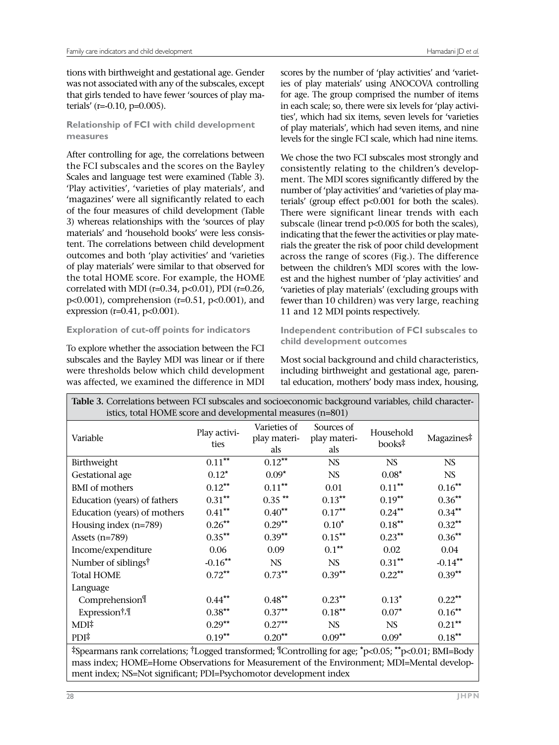was not associated with any of the subscales, except terials' (r=-0.10, p=0.005). tions with birthweight and gestational age. Gender that girls tended to have fewer 'sources of play ma-

# **Relationship of FCI with child development measures**

 After controlling for age, the correlations between the FCI subscales and the scores on the Bayley Scales and language test were examined (Table 3). 'magazines' were all significantly related to each 3) whereas relationships with the 'sources of play correlated with MDI (r=0.34, p<0.01), PDI (r=0.26, 'Play activities', 'varieties of play materials', and of the four measures of child development (Table materials' and 'household books' were less consistent. The correlations between child development outcomes and both 'play activities' and 'varieties of play materials' were similar to that observed for the total HOME score. For example, the HOME p<0.001), comprehension (r=0.51, p<0.001), and expression (r=0.41, p<0.001).

# **Exploration of cut-off points for indicators**

To explore whether the association between the FCI subscales and the Bayley MDI was linear or if there were thresholds below which child development was affected, we examined the difference in MDI

scores by the number of 'play activities' and 'varieties of play materials' using ANOCOVA controlling for age. The group comprised the number of items in each scale; so, there were six levels for 'play activities', which had six items, seven levels for 'varieties of play materials', which had seven items, and nine levels for the single FCI scale, which had nine items.

 ment. The MDI scores significantly differed by the terials' (group effect p<0.001 for both the scales). subscale (linear trend p<0.005 for both the scales), rials the greater the risk of poor child development across the range of scores (Fig.). The difference 'varieties of play materials' (excluding groups with fewer than 10 children) was very large, reaching 11 and 12 MDI points respectively. We chose the two FCI subscales most strongly and consistently relating to the children's developnumber of 'play activities' and 'varieties of play ma-There were significant linear trends with each indicating that the fewer the activities or play matebetween the children's MDI scores with the lowest and the highest number of 'play activities' and

**Independent contribution of FCI subscales to child development outcomes** 

 Most social background and child characteristics, tal education, mothers' body mass index, housing, including birthweight and gestational age, paren-

| Table 3. Correlations between FCI subscales and socioeconomic background variables, child character-<br>istics, total HOME score and developmental measures (n=801)                                                                                |                      |                                     |                                   |                                 |            |
|----------------------------------------------------------------------------------------------------------------------------------------------------------------------------------------------------------------------------------------------------|----------------------|-------------------------------------|-----------------------------------|---------------------------------|------------|
| Variable                                                                                                                                                                                                                                           | Play activi-<br>ties | Varieties of<br>play materi-<br>als | Sources of<br>play materi-<br>als | Household<br>books <sup>‡</sup> | Magazines# |
| Birthweight                                                                                                                                                                                                                                        | $0.11***$            | $0.12***$                           | <b>NS</b>                         | <b>NS</b>                       | <b>NS</b>  |
| Gestational age                                                                                                                                                                                                                                    | $0.12*$              | $0.09*$                             | <b>NS</b>                         | $0.08*$                         | <b>NS</b>  |
| <b>BMI</b> of mothers                                                                                                                                                                                                                              | $0.12***$            | $0.11***$                           | 0.01                              | $0.11***$                       | $0.16***$  |
| Education (years) of fathers                                                                                                                                                                                                                       | $0.31***$            | $0.35$ **                           | $0.13***$                         | $0.19***$                       | $0.36***$  |
| Education (years) of mothers                                                                                                                                                                                                                       | $0.41***$            | $0.40***$                           | $0.17***$                         | $0.24***$                       | $0.34***$  |
| Housing index (n=789)                                                                                                                                                                                                                              | $0.26***$            | $0.29***$                           | $0.10*$                           | $0.18***$                       | $0.32***$  |
| Assets $(n=789)$                                                                                                                                                                                                                                   | $0.35***$            | $0.39***$                           | $0.15***$                         | $0.23***$                       | $0.36***$  |
| Income/expenditure                                                                                                                                                                                                                                 | 0.06                 | 0.09                                | $0.1***$                          | 0.02                            | 0.04       |
| Number of siblings <sup>†</sup>                                                                                                                                                                                                                    | $-0.16***$           | <b>NS</b>                           | <b>NS</b>                         | $0.31***$                       | $-0.14***$ |
| <b>Total HOME</b>                                                                                                                                                                                                                                  | $0.72***$            | $0.73***$                           | $0.39**$                          | $0.22***$                       | $0.39***$  |
| Language                                                                                                                                                                                                                                           |                      |                                     |                                   |                                 |            |
| Comprehension                                                                                                                                                                                                                                      | $0.44***$            | $0.48***$                           | $0.23***$                         | $0.13*$                         | $0.22***$  |
| Expression <sup>†,¶</sup>                                                                                                                                                                                                                          | $0.38***$            | $0.37***$                           | $0.18***$                         | $0.07*$                         | $0.16***$  |
| MDI‡                                                                                                                                                                                                                                               | $0.29***$            | $0.27***$                           | <b>NS</b>                         | NS.                             | $0.21***$  |
| PDI <sup>‡</sup>                                                                                                                                                                                                                                   | $0.19***$            | $0.20***$                           | $0.09**$                          | $0.09*$                         | $0.18***$  |
| *Spearmans rank correlations; <sup>†</sup> Logged transformed; <sup>¶</sup> Controlling for age; <sup>*</sup> p<0.05; <sup>**</sup> p<0.01; BMI=Body<br>mass index; HOME=Home Observations for Measurement of the Environment; MDI=Mental develop- |                      |                                     |                                   |                                 |            |

ment index; NS=Not significant; PDI=Psychomotor development index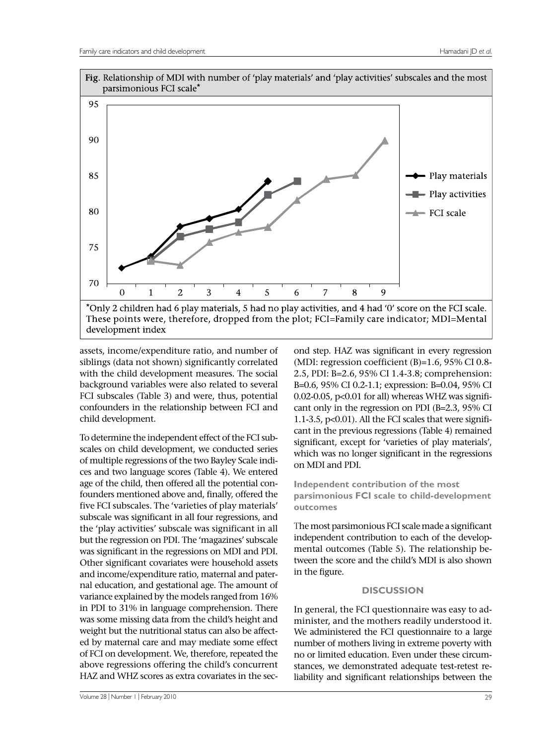

 background variables were also related to several FCI subscales (Table 3) and were, thus, potential assets, income/expenditure ratio, and number of siblings (data not shown) significantly correlated with the child development measures. The social confounders in the relationship between FCI and child development.

 founders mentioned above and, finally, offered the the 'play activities' subscale was significant in all but the regression on PDI. The 'magazines' subscale was significant in the regressions on MDI and PDI. in PDI to 31% in language comprehension. There ed by maternal care and may mediate some effect of FCI on development. We, therefore, repeated the above regressions offering the child's concurrent To determine the independent effect of the FCI subscales on child development, we conducted series of multiple regressions of the two Bayley Scale indices and two language scores (Table 4). We entered age of the child, then offered all the potential confive FCI subscales. The 'varieties of play materials' subscale was significant in all four regressions, and Other significant covariates were household assets and income/expenditure ratio, maternal and paternal education, and gestational age. The amount of variance explained by the models ranged from 16% was some missing data from the child's height and weight but the nutritional status can also be affect-HAZ and WHZ scores as extra covariates in the sec-

 B=0.6, 95% CI 0.2-1.1; expression: B=0.04, 95% CI cant only in the regression on PDI (B=2.3, 95% CI significant, except for 'varieties of play materials', on MDI and PDI. (MDI: regression coefficient  $(B)=1.6$ , 95% CI 0.8-2.5, PDI: B=2.6, 95% CI 1.4-3.8; comprehension: 0.02-0.05, p<0.01 for all) whereas WHZ was signifi-1.1-3.5, p<0.01). All the FCI scales that were significant in the previous regressions (Table 4) remained which was no longer significant in the regressions **Independent contribution of the most** 

ond step. HAZ was significant in every regression

**parsimonious FCI scale to child-development outcomes** 

 The most parsimonious FCI scale made a significant tween the score and the child's MDI is also shown independent contribution to each of the developmental outcomes (Table 5). The relationship bein the figure.

# **DISCUSSION**

 liability and significant relationships between the In general, the FCI questionnaire was easy to administer, and the mothers readily understood it. We administered the FCI questionnaire to a large number of mothers living in extreme poverty with no or limited education. Even under these circumstances, we demonstrated adequate test-retest re-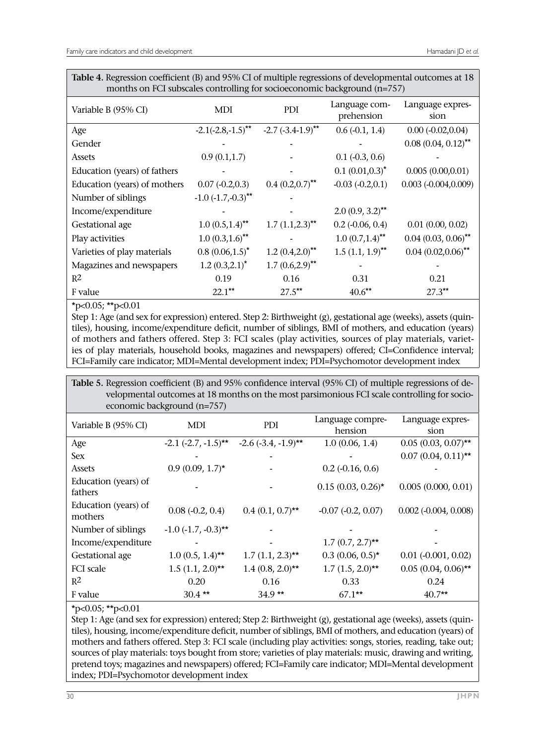| Table 4. Regression coefficient (B) and 95% CI of multiple regressions of developmental outcomes at 18 |
|--------------------------------------------------------------------------------------------------------|
| months on FCI subscales controlling for socioeconomic background (n=757)                               |

| Variable B (95% CI)          | MDI                          | PDI                      | Language com-<br>prehension      | Language expres-<br>sion |
|------------------------------|------------------------------|--------------------------|----------------------------------|--------------------------|
| Age                          | $-2.1(-2.8,-1.5)$ **         | $-2.7 (-3.4 - 1.9)^{**}$ | $0.6(-0.1, 1.4)$                 | $0.00 (-0.02, 0.04)$     |
| Gender                       |                              |                          |                                  | $0.08(0.04, 0.12)$ **    |
| Assets                       | 0.9(0.1, 1.7)                |                          | $0.1$ ( $-0.3$ , $0.6$ )         |                          |
| Education (years) of fathers |                              |                          | $0.1(0.01,0.3)^*$                | 0.005(0.00, 0.01)        |
| Education (years) of mothers | $0.07(-0.2,0.3)$             | $0.4 (0.2, 0.7)^{**}$    | $-0.03 (-0.2, 0.1)$              | $0.003 (-0.004, 0.009)$  |
| Number of siblings           | $-1.0$ $(-1.7,-0.3)$ **      |                          |                                  |                          |
| Income/expenditure           |                              |                          | $2.0(0.9, 3.2)$ **               |                          |
| Gestational age              | $1.0(0.5,1.4)$ <sup>**</sup> | $1.7 (1.1, 2.3)$ **      | $0.2$ (-0.06, 0.4)               | $0.01$ $(0.00, 0.02)$    |
| Play activities              | $1.0(0.3,1.6)$ **            |                          | $1.0 (0.7, 1.4)$ <sup>**</sup>   | $0.04$ $(0.03, 0.06)$ ** |
| Varieties of play materials  | $0.8$ $(0.06, 1.5)^*$        | $1.2 (0.4, 2.0)^{**}$    | $1.5$ $(1.1, 1.9)$ <sup>**</sup> | $0.04$ $(0.02, 0.06)$ ** |
| Magazines and newspapers     | $1.2(0.3, 2.1)^*$            | $1.7(0.6,2.9)$ **        |                                  |                          |
| R <sup>2</sup>               | 0.19                         | 0.16                     | 0.31                             | 0.21                     |
| F value                      | $22.1$ **                    | $27.5***$                | $40.6***$                        | $27.3***$                |

\*p<0.05; \*\*p<0.01

 ies of play materials, household books, magazines and newspapers) offered; CI=Confidence interval; Step 1: Age (and sex for expression) entered. Step 2: Birthweight (g), gestational age (weeks), assets (quintiles), housing, income/expenditure deficit, number of siblings, BMI of mothers, and education (years) of mothers and fathers offered. Step 3: FCI scales (play activities, sources of play materials, variet-FCI=Family care indicator; MDI=Mental development index; PDI=Psychomotor development index

**Table 5.** Regression coefficient (B) and 95% confidence interval (95% CI) of multiple regressions of developmental outcomes at 18 months on the most parsimonious FCI scale controlling for socioeconomic background (n=757)

|                                 | $\alpha$ $\beta$         |                                                   |                             |                                |
|---------------------------------|--------------------------|---------------------------------------------------|-----------------------------|--------------------------------|
| Variable B (95% CI)             | MDI                      | <b>PDI</b>                                        | Language compre-<br>hension | Language expres-<br>sion       |
| Age                             |                          | $-2.1$ $(-2.7, -1.5)$ ** $-2.6$ $(-3.4, -1.9)$ ** | 1.0(0.06, 1.4)              | $0.05(0.03, 0.07)$ **          |
| <b>Sex</b>                      |                          |                                                   |                             | $0.07(0.04, 0.11)$ **          |
| Assets                          | $0.9(0.09, 1.7)$ *       |                                                   | $0.2$ (-0.16, 0.6)          |                                |
| Education (years) of<br>fathers |                          |                                                   | $0.15(0.03, 0.26)$ *        | 0.005(0.000, 0.01)             |
| Education (years) of<br>mothers | $0.08$ $(-0.2, 0.4)$     | $0.4(0.1, 0.7)$ **                                | $-0.07 (-0.2, 0.07)$        | $0.002$ ( $-0.004$ , $0.008$ ) |
| Number of siblings              | $-1.0$ $(-1.7, -0.3)$ ** |                                                   |                             |                                |
| Income/expenditure              |                          |                                                   | $1.7(0.7, 2.7)$ **          |                                |
| Gestational age                 | $1.0(0.5, 1.4)$ **       | $1.7(1.1, 2.3)$ **                                | $0.3(0.06, 0.5)^*$          | $0.01$ ( $-0.001$ , $0.02$ )   |
| FCI scale                       | $1.5$ $(1.1, 2.0)$ **    | $1.4(0.8, 2.0)$ **                                | $1.7 (1.5, 2.0)$ **         | $0.05(0.04, 0.06)$ **          |
| $R^2$                           | 0.20                     | 0.16                                              | 0.33                        | 0.24                           |
| F value                         | $30.4$ **                | $34.9**$                                          | $67.1***$                   | $40.7**$                       |

 $*p<0.05$ ;  $*p<0.01$ 

 mothers and fathers offered. Step 3: FCI scale (including play activities: songs, stories, reading, take out; pretend toys; magazines and newspapers) offered; FCI=Family care indicator; MDI=Mental development Step 1: Age (and sex for expression) entered; Step 2: Birthweight (g), gestational age (weeks), assets (quintiles), housing, income/expenditure deficit, number of siblings, BMI of mothers, and education (years) of sources of play materials: toys bought from store; varieties of play materials: music, drawing and writing, index; PDI=Psychomotor development index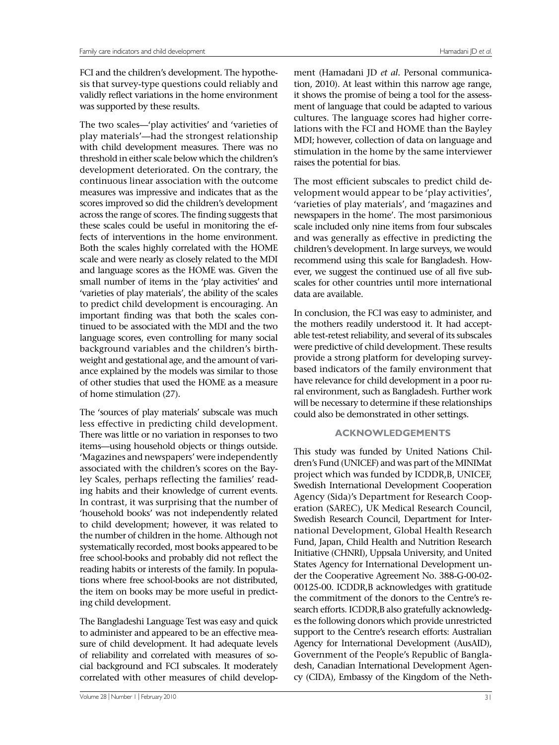validly reflect variations in the home environment was supported by these results. FCI and the children's development. The hypothesis that survey-type questions could reliably and

 The two scales—'play activities' and 'varieties of play materials'—had the strongest relationship measures was impressive and indicates that as the scores improved so did the children's development fects of interventions in the home environment. scale and were nearly as closely related to the MDI and language scores as the HOME was. Given the to predict child development is encouraging. An language scores, even controlling for many social ance explained by the models was similar to those of home stimulation (27). with child development measures. There was no threshold in either scale below which the children's development deteriorated. On the contrary, the continuous linear association with the outcome across the range of scores. The finding suggests that these scales could be useful in monitoring the ef-Both the scales highly correlated with the HOME small number of items in the 'play activities' and 'varieties of play materials', the ability of the scales important finding was that both the scales continued to be associated with the MDI and the two background variables and the children's birthweight and gestational age, and the amount of variof other studies that used the HOME as a measure

 The 'sources of play materials' subscale was much less effective in predicting child development. ing habits and their knowledge of current events. systematically recorded, most books appeared to be free school-books and probably did not reflect the tions where free school-books are not distributed, There was little or no variation in responses to two items—using household objects or things outside. 'Magazines and newspapers' were independently associated with the children's scores on the Bayley Scales, perhaps reflecting the families' read-In contrast, it was surprising that the number of 'household books' was not independently related to child development; however, it was related to the number of children in the home. Although not reading habits or interests of the family. In populathe item on books may be more useful in predicting child development.

The Bangladeshi Language Test was easy and quick to administer and appeared to be an effective measure of child development. It had adequate levels of reliability and correlated with measures of social background and FCI subscales. It moderately correlated with other measures of child develop-

 tion, 2010). At least within this narrow age range, raises the potential for bias. ment (Hamadani JD *et al.* Personal communicait shows the promise of being a tool for the assessment of language that could be adapted to various cultures. The language scores had higher correlations with the FCI and HOME than the Bayley MDI; however, collection of data on language and stimulation in the home by the same interviewer

 scales for other countries until more international data are available. The most efficient subscales to predict child development would appear to be 'play activities', 'varieties of play materials', and 'magazines and newspapers in the home'. The most parsimonious scale included only nine items from four subscales and was generally as effective in predicting the children's development. In large surveys, we would recommend using this scale for Bangladesh. However, we suggest the continued use of all five sub-

 based indicators of the family environment that ral environment, such as Bangladesh. Further work could also be demonstrated in other settings. In conclusion, the FCI was easy to administer, and the mothers readily understood it. It had acceptable test-retest reliability, and several of its subscales were predictive of child development. These results provide a strong platform for developing surveyhave relevance for child development in a poor ruwill be necessary to determine if these relationships

# **ACKNOWLEDGEMENTS**

 00125-00. ICDDR,B acknowledges with gratitude support to the Centre's research efforts: Australian Agency for International Development (AusAID), This study was funded by United Nations Children's Fund (UNICEF) and was part of the MINIMat project which was funded by ICDDR,B, UNICEF, Swedish International Development Cooperation Agency (Sida)'s Department for Research Cooperation (SAREC)**,** UK Medical Research Council, Swedish Research Council, Department for International Development, Global Health Research Fund, Japan, Child Health and Nutrition Research Initiative (CHNRI), Uppsala University, and United States Agency for International Development under the Cooperative Agreement No. 388-G-00-02 the commitment of the donors to the Centre's research efforts. ICDDR,B also gratefully acknowledges the following donors which provide unrestricted Government of the People's Republic of Bangladesh, Canadian International Development Agency (CIDA), Embassy of the Kingdom of the Neth-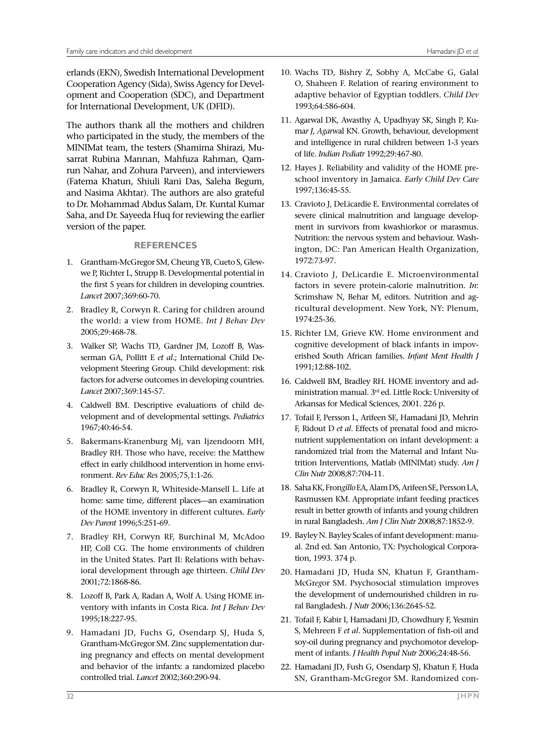for International Development, UK (DFID). erlands (EKN), Swedish International Development Cooperation Agency (Sida), Swiss Agency for Development and Cooperation (SDC), and Department

 The authors thank all the mothers and children who participated in the study, the members of the (Fatema Khatun, Shiuli Rani Das, Saleha Begum, and Nasima Akhtar). The authors are also grateful MINIMat team, the testers (Shamima Shirazi, Musarrat Rubina Mannan, Mahfuza Rahman, Qamrun Nahar, and Zohura Parveen), and interviewers to Dr. Mohammad Abdus Salam, Dr. Kuntal Kumar Saha, and Dr. Sayeeda Huq for reviewing the earlier version of the paper.

# **REFERENCES**

- we P, Richter L, Strupp B. Developmental potential in 1. Grantham-McGregor SM, Cheung YB, Cueto S, Glewthe first 5 years for children in developing countries. *Lancet* 2007;369:60-70.
- 2. Bradley R, Corwyn R. Caring for children around the world: a view from HOME. *Int J Behav Dev*  2005;29:468-78.
- factors for adverse outcomes in developing countries. 3. Walker SP, Wachs TD, Gardner JM, Lozoff B, Wasserman GA, Pollitt E *et al*.; International Child Development Steering Group. Child development: risk *Lancet* 2007;369:145-57.
- velopment and of developmental settings. *Pediatrics*  4. Caldwell BM. Descriptive evaluations of child de-1967;40:46-54.
- 5. Bakermans-Kranenburg Mj, van Ijzendoorn MH, Bradley RH. Those who have, receive: the Matthew effect in early childhood intervention in home environment. *Rev Educ Res* 2005;75,1:1-26.
- home: same time*,* different places—an examination  of the HOME inventory in different cultures. *Early*  6. Bradley R, Corwyn R, Whiteside-Mansell L. Life at *Dev Parent* 1996;5:251-69.
- 7. Bradley RH, Corwyn RF, Burchinal M, McAdoo HP, Coll CG. The home environments of children in the United States. Part II: Relations with behavioral development through age thirteen. *Child Dev*  2001;72:1868-86.
- 8. Lozoff B, Park A, Radan A, Wolf A. Using HOME inventory with infants in Costa Rica. *Int J Behav Dev*  1995;18:227-95.
- 9. Hamadani JD, Fuchs G, Osendarp SJ, Huda S, ing pregnancy and effects on mental development Grantham-McGregor SM. Zinc supplementation durand behavior of the infants: a randomized placebo controlled trial. *Lancet* 2002;360:290-94.
- 10. Wachs TD, Bishry Z, Sobhy A, McCabe G, Galal O, Shaheen F. Relation of rearing environment to adaptive behavior of Egyptian toddlers. *Child Dev*  1993;64:586-604.
- ma*r J, Agarw*al KN. Growth, behaviour, development and intelligence in rural children between 1-3 years 11. Agarwal DK, Awasthy A, Upadhyay SK, Singh P, Kuof life. *Indian Pediatr* 1992;29:467-80.
- 12. Hayes J. Reliability and validity of the HOME preschool inventory in Jamaica. *Early Child Dev Care*  1997;136:45-55.
- 13. Cravioto J, DeLicardie E. Environmental correlates of ment in survivors from kwashiorkor or marasmus. severe clinical malnutrition and language develop-Nutrition: the nervous system and behaviour. Washington, DC: Pan American Health Organization, 1972:73-97.
- ricultural development. New York, NY: Plenum, 14. Cravioto J, DeLicardie E. Microenvironmental factors in severe protein-calorie malnutrition. *In*: Scrimshaw N, Behar M, editors. Nutrition and ag-1974:25-36.
- 15. Richter LM, Grieve KW. Home environment and cognitive development of black infants in impoverished South African families. *Infant Ment Health J*  1991;12:88-102.
- ministration manual. 3rd ed. Little Rock: University of 16. Caldwell BM, Bradley RH. HOME inventory and ad-Arkansas for Medical Sciences, 2001. 226 p.
- 17. Tofail F, Persson L, Arifeen SE, Hamadani JD, Mehrin F, Ridout D *et al*. Effects of prenatal food and micronutrient supplementation on infant development: a randomized trial from the Maternal and Infant Nutrition Interventions, Matlab (MINIMat) study. *Am J Clin Nutr* 2008;87:704-11.
- result in better growth of infants and young children 18. Saha KK, Fron*gillo* EA, Alam DS, Arifeen SE, Persson LA, Rasmussen KM. Appropriate infant feeding practices in rural Bangladesh. *Am J Clin Nutr* 2008;87:1852-9.
- 19. Bayley N. Bayley Scales of infant development: manual. 2nd ed. San Antonio, TX: Psychological Corporation, 1993. 374 p.
- 20. Hamadani JD, Huda SN, Khatun F, Grantham-McGr*eg*or SM. Psychosocial stimulation improves the development of undernourished children in rural Bangladesh. *J Nutr* 2006;136:2645-52.
- 21. Tofail F, Kabir I, Hamadani JD, Chowdhury F, Yesmin S, Mehreen F *et al*. Supplementation of fish-oil and soy-oil during pregnancy and psychomotor development of infants. *J Health Popul Nutr* 2006;24:48-56.
- 22. Hamadani JD, Fush G, Osendarp SJ, Khatun F, Huda SN, Grantham-McGregor SM. Randomized con-